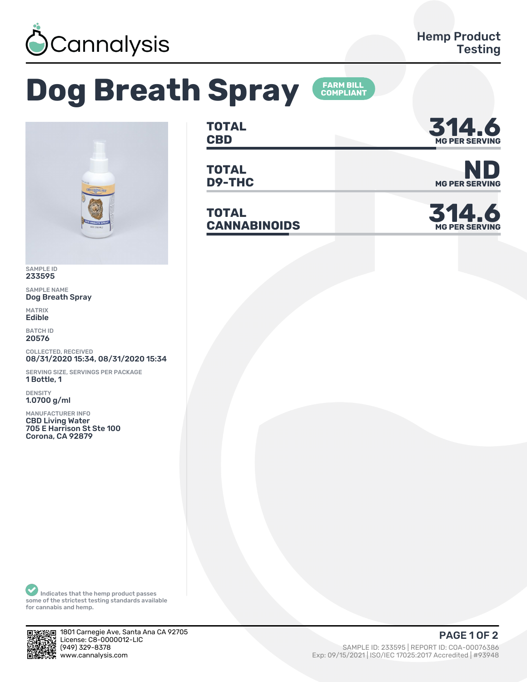

## **Dog Breath Spray**



SAMPLE ID 233595

SAMPLE NAME Dog Breath Spray

MATRIX **Edible** 

BATCH ID 20576

COLLECTED, RECEIVED 08/31/2020 15:34, 08/31/2020 15:34

SERVING SIZE, SERVINGS PER PACKAGE 1 Bottle, 1

DENSITY 1.0700 g/ml

MANUFACTURER INFO CBD Living Water 705 E Harrison St Ste 100 Corona, CA 92879

**TOTAL** TOTAL **314.6** 

**FARM BILL<br>COMPLIANT** 

**TOTAL**

**TOTAL CANNABINOIDS ǿ1Ȁ.6**



**D9-THC** MG PER SERVING



Indicates that the hemp product passes some of the strictest testing standards available for cannabis and hemp.



1801 Carnegie Ave, Santa Ana CA 92705 License: C8-0000012-LIC<br>(949) 329-8378 www.cannalysis.com Exp: 09/15/2021 | ISO/IEC 17025:2017 Accredited | #93948